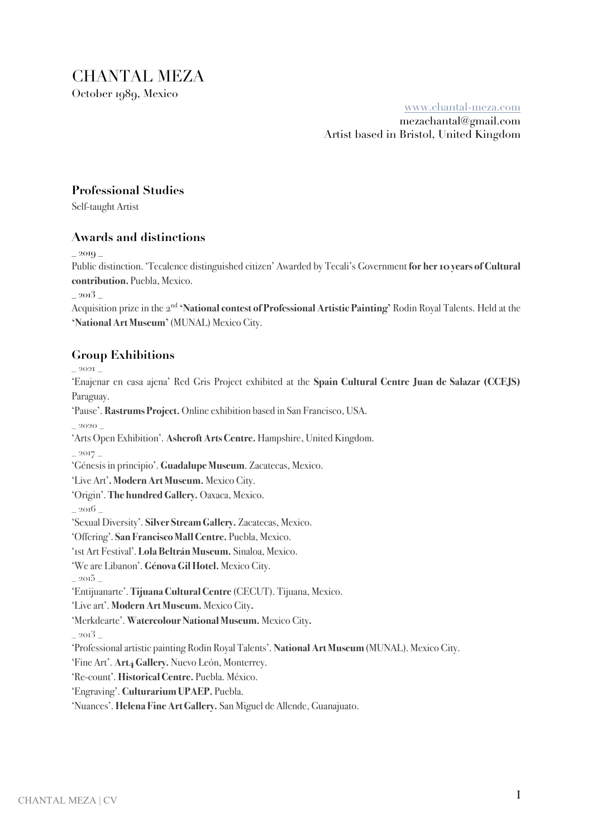CHANTAL MEZA October 1989, Mexico

www.chantal-meza.com

mezachantal@gmail.com Artist based in Bristol, United Kingdom

## **Professional Studies**

Self-taught Artist

### **Awards and distinctions**

 $- 2019$ 

Public distinction. 'Tecalence distinguished citizen' Awarded by Tecali's Government **for her 10 years of Cultural contribution.** Puebla, Mexico.

 $-2013$ 

Acquisition prize in the 2nd **'National contest of Professional Artistic Painting'** Rodin Royal Talents. Held at the **'National Art Museum'** (MUNAL) Mexico City.

# **Group Exhibitions**

\_ 2021 \_

'Enajenar en casa ajena' Red Gris Project exhibited at the **Spain Cultural Centre Juan de Salazar (CCEJS)** Paraguay.

'Pause'. **Rastrums Project.** Online exhibition based in San Francisco, USA.

\_ 2020 \_

'Arts Open Exhibition'. **AshcroftArtsCentre.** Hampshire, United Kingdom.

 $- 2017$ 

'Génesis in principio'. **Guadalupe Museum**. Zacatecas, Mexico.

'Live Art'**. Modern Art Museum.** Mexico City.

'Origin'. **The hundred Gallery.** Oaxaca, Mexico.

2016

'Sexual Diversity'. **Silver Stream Gallery.** Zacatecas, Mexico.

'Offering'. **San Francisco Mall Centre.** Puebla, Mexico.

'1st Art Festival'. **Lola BeltránMuseum.** Sinaloa, Mexico.

'We are Libanon'. **Génova Gil Hotel.** Mexico City.

 $-2015$ 

'Entijuanarte'. **Tijuana Cultural Centre** (CECUT). Tijuana, Mexico.

'Live art'. **Modern Art Museum.** Mexico City**.**

'Merkdearte'. **Watercolour National Museum.** Mexico City**.**

\_ 2013 \_

'Professional artistic painting Rodin Royal Talents'. National Art Museum (MUNAL). Mexico City.

'Fine Art'. **Art4 Gallery.** Nuevo León, Monterrey.

'Re-count'.**Historical Centre.** Puebla. México.

'Engraving'. **Culturarium UPAEP.** Puebla.

'Nuances'. **Helena Fine Art Gallery.** San Miguel de Allende, Guanajuato.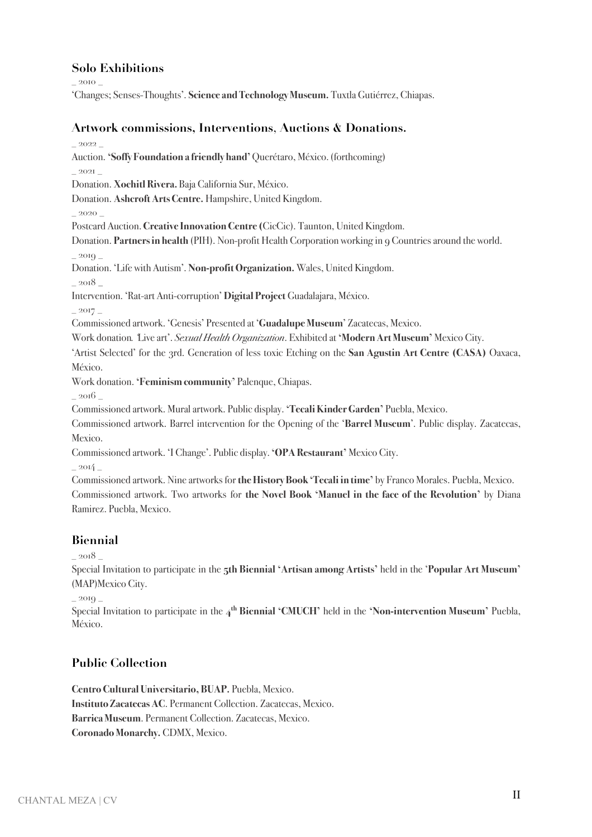## **Solo Exhibitions**

\_ 2010 \_

'Changes; Senses-Thoughts'. **Science and Technology Museum.** Tuxtla Gutiérrez, Chiapas.

#### **Artwork commissions, Interventions**, **Auctions & Donations.**

\_ 2022 \_

Auction. **'Soffy Foundation a friendly hand'** Querétaro, México.(forthcoming)

\_ 2021 \_

Donation. **Xochitl Rivera.** Baja California Sur, México.

Donation. **AshcroftArtsCentre.** Hampshire, United Kingdom.

\_ 2020 \_

Postcard Auction.**Creative Innovation Centre (**CicCic). Taunton, United Kingdom.

Donation. **Partners in health** (PIH). Non-profit Health Corporation working in 9 Countries around the world.

2019

Donation. 'Life with Autism'. **Non-profit Organization.** Wales, United Kingdom.

2018

Intervention. 'Rat-art Anti-corruption' **Digital Project** Guadalajara, México.

 $_{2017}$ 

Commissioned artwork. 'Genesis' Presented at '**Guadalupe Museum**' Zacatecas, Mexico.

Work donation*. '*Live art'. *Sexual Health Organization*. Exhibited at **'Modern Art Museum'** Mexico City.

'Artist Selected' for the 3rd. Generation of less toxic Etching on the **San Agustin Art Centre (CASA)** Oaxaca, México.

Work donation. **'Feminism community'** Palenque, Chiapas.

2016

Commissioned artwork. Mural artwork. Public display. **'Tecali Kinder Garden'** Puebla, Mexico.

Commissioned artwork. Barrel intervention for the Opening of the '**Barrel Museum**'. Public display. Zacatecas, Mexico.

Commissioned artwork. 'I Change'. Public display.**'OPA Restaurant'** Mexico City.

 $2014$ 

Commissioned artwork. Nine artworks for **the History Book 'Tecali in time'** by Franco Morales. Puebla, Mexico. Commissioned artwork. Two artworks for **the Novel Book 'Manuel in the face of the Revolution'** by Diana Ramirez. Puebla, Mexico.

## **Biennial**

\_ 2018 \_

Special Invitation to participate in the **5th Biennial 'Artisan among Artists'** held in the '**Popular Art Museum'** (MAP)Mexico City.

2019

Special Invitation to participate in the **4th Biennial 'CMUCH'** held in the **'Non-intervention Museum'** Puebla, México.

## **Public Collection**

**Centro Cultural Universitario, BUAP.** Puebla, Mexico. **Instituto Zacatecas AC**. Permanent Collection. Zacatecas, Mexico. **Barrica Museum**. Permanent Collection. Zacatecas, Mexico. **Coronado Monarchy.** CDMX, Mexico.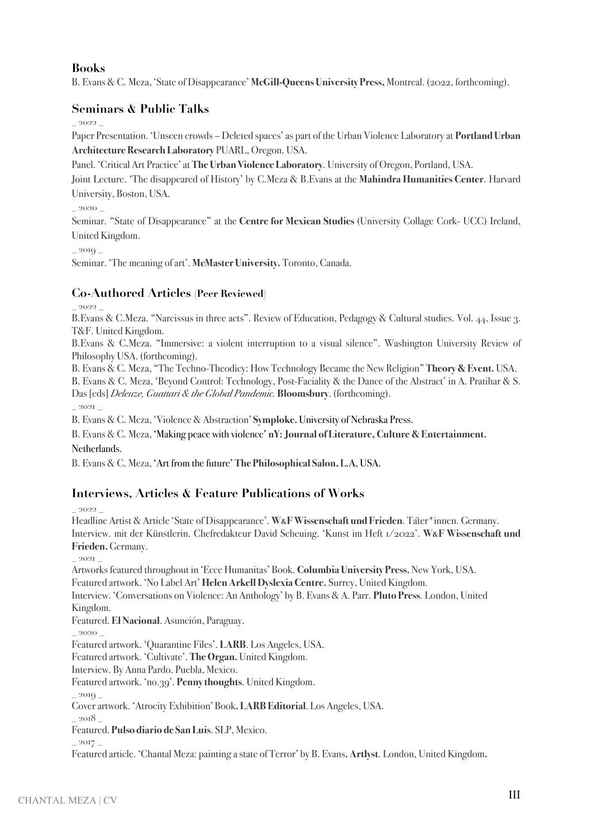## **Books**

B. Evans & C. Meza, 'State of Disappearance' **McGill-Queens University Press,** Montreal. (2022, forthcoming).

## **Seminars & Public Talks**

\_ 2022 \_

Paper Presentation. 'Unseen crowds – Deleted spaces' as part of the Urban Violence Laboratory at **Portland Urban Architecture Research Laboratory** PUARL, Oregon. USA.

Panel. 'Critical Art Practice' at **The Urban Violence Laboratory**. University of Oregon, Portland, USA.

Joint Lecture. 'The disappeared of History' by C.Meza & B.Evans at the **Mahindra Humanities Center**. Harvard University, Boston, USA.

2020

Seminar. "State of Disappearance" at the **Centre for Mexican Studies** (University Collage Cork- UCC) Ireland, United Kingdom.

\_ 2019 \_

Seminar. 'The meaning of art'. **McMaster University.** Toronto, Canada.

### **Co-Authored Articles (Peer Reviewed)**

\_ 2022 \_

B.Evans & C.Meza. "Narcissus in three acts". Review of Education, Pedagogy & Cultural studies. Vol. 44, Issue 3. T&F. United Kingdom.

B.Evans & C.Meza. "Immersive: a violent interruption to a visual silence". Washington University Review of Philosophy USA. (forthcoming).

B. Evans & C. Meza, "The Techno-Theodicy: How Technology Became the New Religion" **Theory & Event.** USA.

B. Evans & C. Meza, 'Beyond Control: Technology, Post-Faciality & the Dance of the Abstract' in A. Pratihar & S. Das [eds] *Deleuze, Guattari & the Global Pandemic.* **Bloomsbury**. (forthcoming).

\_ 2021 \_

B. Evans & C. Meza, 'Violence & Abstraction' **Symploke.** University of Nebraska Press.

B. Evans & C. Meza, 'Making peace with violence' **nY: Journal of Literature, Culture & Entertainment.** 

Netherlands.

B. Evans & C. Meza, 'Art from the future'**The Philosophical Salon.** L.A, USA.

## **Interviews, Articles & Feature Publications of Works**

2022

Headline Artist & Article 'State of Disappearance'. **W&F Wissenschaft und Frieden**. Täter\*innen. Germany. Interview. mit der Künstlerin. Chefredakteur David Scheuing. 'Kunst im Heft 1/2022'. **W&F Wissenschaft und Frieden.** Germany.

\_ 2021 \_

Artworks featured throughout in 'Ecce Humanitas' Book. **Columbia University Press.**New York, USA. Featured artwork. 'No Label Art' **Helen Arkell Dyslexia Centre.** Surrey, United Kingdom.

Interview. 'Conversations on Violence: An Anthology' by B. Evans & A. Parr. **Pluto Press**. London, United Kingdom.

Featured. **El Nacional**. Asunción, Paraguay.

2020

Featured artwork. 'Quarantine Files'. **LARB**. Los Angeles, USA.

Featured artwork. 'Cultivate'. **The Organ.** United Kingdom.

Interview. By Anna Pardo. Puebla, Mexico.

Featured artwork. 'no.39'. **Penny thoughts**. United Kingdom.

2010

Cover artwork. 'Atrocity Exhibition' Book**. LARB Editorial**. Los Angeles, USA.

\_ 2018 \_

Featured. **Pulso diario de San Luis**. SLP, Mexico.

\_ 2017 \_

Featured article. 'Chantal Meza: painting a state of Terror' by B. Evans**. Artlyst**. London, United Kingdom**.**